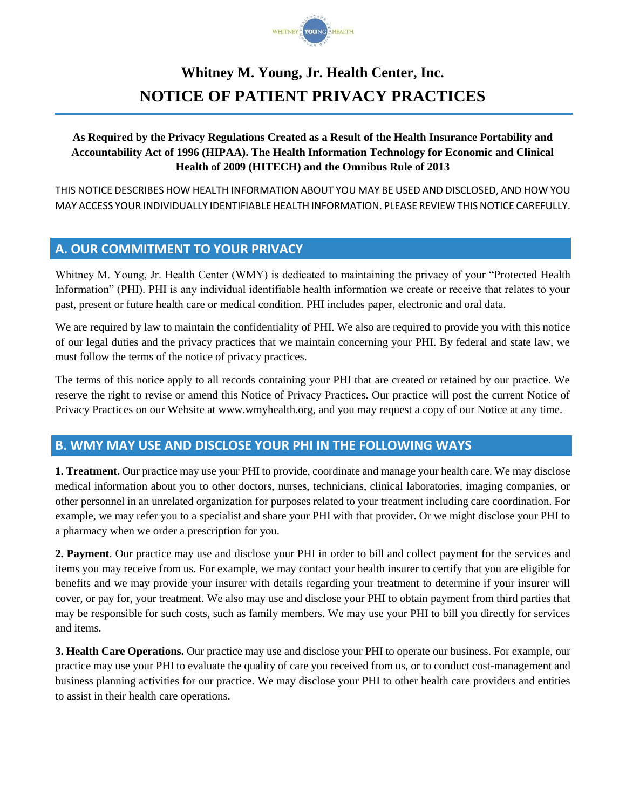

# **Whitney M. Young, Jr. Health Center, Inc. NOTICE OF PATIENT PRIVACY PRACTICES**

### **As Required by the Privacy Regulations Created as a Result of the Health Insurance Portability and Accountability Act of 1996 (HIPAA). The Health Information Technology for Economic and Clinical Health of 2009 (HITECH) and the Omnibus Rule of 2013**

THIS NOTICE DESCRIBES HOW HEALTH INFORMATION ABOUT YOU MAY BE USED AND DISCLOSED, AND HOW YOU MAY ACCESS YOUR INDIVIDUALLY IDENTIFIABLE HEALTH INFORMATION. PLEASE REVIEW THIS NOTICE CAREFULLY.

## **A. OUR COMMITMENT TO YOUR PRIVACY**

Whitney M. Young, Jr. Health Center (WMY) is dedicated to maintaining the privacy of your "Protected Health Information" (PHI). PHI is any individual identifiable health information we create or receive that relates to your past, present or future health care or medical condition. PHI includes paper, electronic and oral data.

We are required by law to maintain the confidentiality of PHI. We also are required to provide you with this notice of our legal duties and the privacy practices that we maintain concerning your PHI. By federal and state law, we must follow the terms of the notice of privacy practices.

The terms of this notice apply to all records containing your PHI that are created or retained by our practice. We reserve the right to revise or amend this Notice of Privacy Practices. Our practice will post the current Notice of Privacy Practices on our Website at www.wmyhealth.org, and you may request a copy of our Notice at any time.

## **B. WMY MAY USE AND DISCLOSE YOUR PHI IN THE FOLLOWING WAYS**

**1. Treatment.** Our practice may use your PHI to provide, coordinate and manage your health care. We may disclose medical information about you to other doctors, nurses, technicians, clinical laboratories, imaging companies, or other personnel in an unrelated organization for purposes related to your treatment including care coordination. For example, we may refer you to a specialist and share your PHI with that provider. Or we might disclose your PHI to a pharmacy when we order a prescription for you.

**2. Payment**. Our practice may use and disclose your PHI in order to bill and collect payment for the services and items you may receive from us. For example, we may contact your health insurer to certify that you are eligible for benefits and we may provide your insurer with details regarding your treatment to determine if your insurer will cover, or pay for, your treatment. We also may use and disclose your PHI to obtain payment from third parties that may be responsible for such costs, such as family members. We may use your PHI to bill you directly for services and items.

**3. Health Care Operations.** Our practice may use and disclose your PHI to operate our business. For example, our practice may use your PHI to evaluate the quality of care you received from us, or to conduct cost-management and business planning activities for our practice. We may disclose your PHI to other health care providers and entities to assist in their health care operations.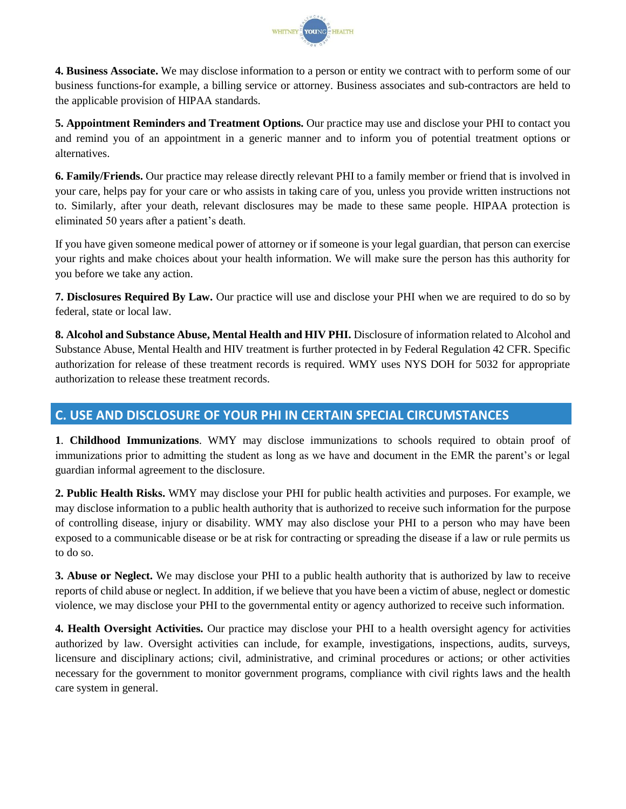

**4. Business Associate.** We may disclose information to a person or entity we contract with to perform some of our business functions-for example, a billing service or attorney. Business associates and sub-contractors are held to the applicable provision of HIPAA standards.

**5. Appointment Reminders and Treatment Options.** Our practice may use and disclose your PHI to contact you and remind you of an appointment in a generic manner and to inform you of potential treatment options or alternatives.

**6. Family/Friends.** Our practice may release directly relevant PHI to a family member or friend that is involved in your care, helps pay for your care or who assists in taking care of you, unless you provide written instructions not to. Similarly, after your death, relevant disclosures may be made to these same people. HIPAA protection is eliminated 50 years after a patient's death.

If you have given someone medical power of attorney or if someone is your legal guardian, that person can exercise your rights and make choices about your health information. We will make sure the person has this authority for you before we take any action.

**7. Disclosures Required By Law.** Our practice will use and disclose your PHI when we are required to do so by federal, state or local law.

**8. Alcohol and Substance Abuse, Mental Health and HIV PHI.** Disclosure of information related to Alcohol and Substance Abuse, Mental Health and HIV treatment is further protected in by Federal Regulation 42 CFR. Specific authorization for release of these treatment records is required. WMY uses NYS DOH for 5032 for appropriate authorization to release these treatment records.

## **C. USE AND DISCLOSURE OF YOUR PHI IN CERTAIN SPECIAL CIRCUMSTANCES**

**1**. **Childhood Immunizations**. WMY may disclose immunizations to schools required to obtain proof of immunizations prior to admitting the student as long as we have and document in the EMR the parent's or legal guardian informal agreement to the disclosure.

**2. Public Health Risks.** WMY may disclose your PHI for public health activities and purposes. For example, we may disclose information to a public health authority that is authorized to receive such information for the purpose of controlling disease, injury or disability. WMY may also disclose your PHI to a person who may have been exposed to a communicable disease or be at risk for contracting or spreading the disease if a law or rule permits us to do so.

**3. Abuse or Neglect.** We may disclose your PHI to a public health authority that is authorized by law to receive reports of child abuse or neglect. In addition, if we believe that you have been a victim of abuse, neglect or domestic violence, we may disclose your PHI to the governmental entity or agency authorized to receive such information.

**4. Health Oversight Activities.** Our practice may disclose your PHI to a health oversight agency for activities authorized by law. Oversight activities can include, for example, investigations, inspections, audits, surveys, licensure and disciplinary actions; civil, administrative, and criminal procedures or actions; or other activities necessary for the government to monitor government programs, compliance with civil rights laws and the health care system in general.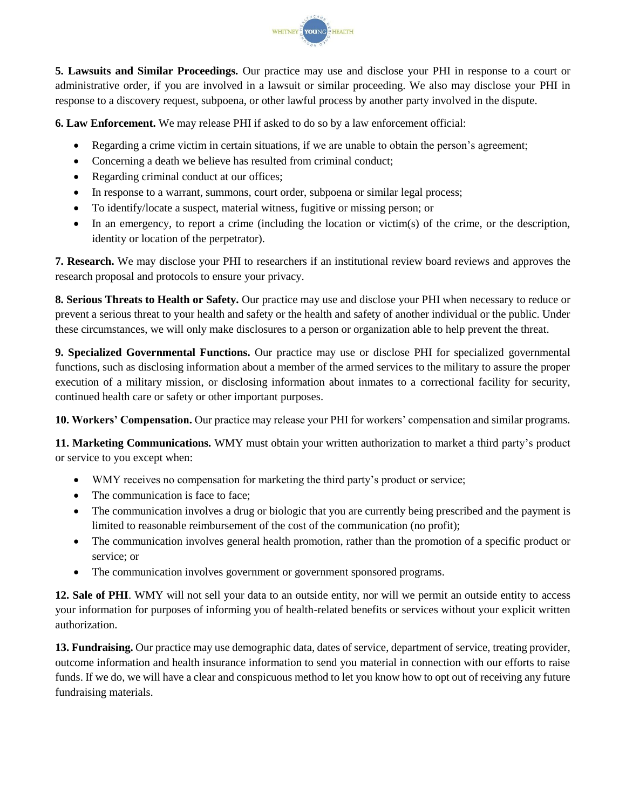

**5. Lawsuits and Similar Proceedings.** Our practice may use and disclose your PHI in response to a court or administrative order, if you are involved in a lawsuit or similar proceeding. We also may disclose your PHI in response to a discovery request, subpoena, or other lawful process by another party involved in the dispute.

**6. Law Enforcement.** We may release PHI if asked to do so by a law enforcement official:

- Regarding a crime victim in certain situations, if we are unable to obtain the person's agreement;
- Concerning a death we believe has resulted from criminal conduct;
- Regarding criminal conduct at our offices;
- In response to a warrant, summons, court order, subpoena or similar legal process;
- To identify/locate a suspect, material witness, fugitive or missing person; or
- In an emergency, to report a crime (including the location or victim(s) of the crime, or the description, identity or location of the perpetrator).

**7. Research.** We may disclose your PHI to researchers if an institutional review board reviews and approves the research proposal and protocols to ensure your privacy.

**8. Serious Threats to Health or Safety.** Our practice may use and disclose your PHI when necessary to reduce or prevent a serious threat to your health and safety or the health and safety of another individual or the public. Under these circumstances, we will only make disclosures to a person or organization able to help prevent the threat.

**9. Specialized Governmental Functions.** Our practice may use or disclose PHI for specialized governmental functions, such as disclosing information about a member of the armed services to the military to assure the proper execution of a military mission, or disclosing information about inmates to a correctional facility for security, continued health care or safety or other important purposes.

**10. Workers' Compensation.** Our practice may release your PHI for workers' compensation and similar programs.

**11. Marketing Communications.** WMY must obtain your written authorization to market a third party's product or service to you except when:

- WMY receives no compensation for marketing the third party's product or service;
- The communication is face to face;
- The communication involves a drug or biologic that you are currently being prescribed and the payment is limited to reasonable reimbursement of the cost of the communication (no profit);
- The communication involves general health promotion, rather than the promotion of a specific product or service; or
- The communication involves government or government sponsored programs.

**12. Sale of PHI**. WMY will not sell your data to an outside entity, nor will we permit an outside entity to access your information for purposes of informing you of health-related benefits or services without your explicit written authorization.

**13. Fundraising.** Our practice may use demographic data, dates of service, department of service, treating provider, outcome information and health insurance information to send you material in connection with our efforts to raise funds. If we do, we will have a clear and conspicuous method to let you know how to opt out of receiving any future fundraising materials.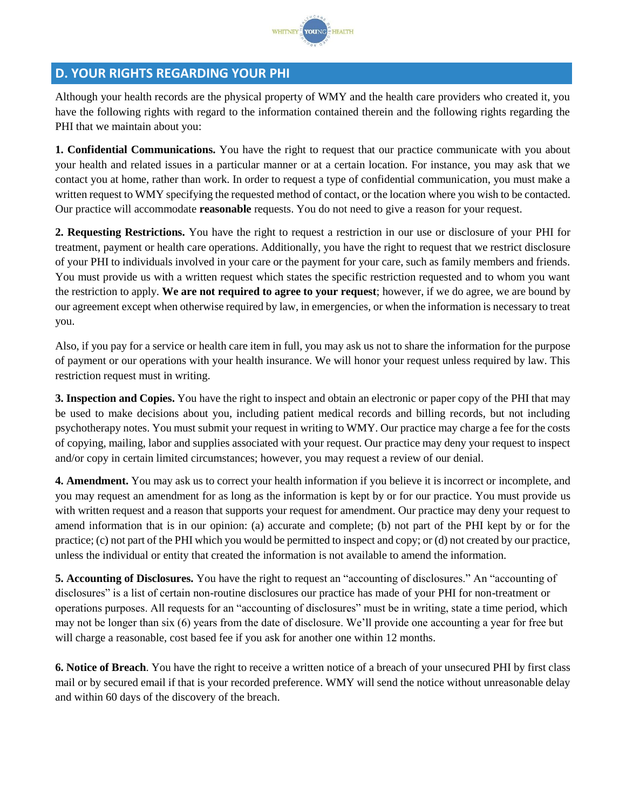

### **D. YOUR RIGHTS REGARDING YOUR PHI**

Although your health records are the physical property of WMY and the health care providers who created it, you have the following rights with regard to the information contained therein and the following rights regarding the PHI that we maintain about you:

**1. Confidential Communications.** You have the right to request that our practice communicate with you about your health and related issues in a particular manner or at a certain location. For instance, you may ask that we contact you at home, rather than work. In order to request a type of confidential communication, you must make a written request to WMY specifying the requested method of contact, or the location where you wish to be contacted. Our practice will accommodate **reasonable** requests. You do not need to give a reason for your request.

**2. Requesting Restrictions.** You have the right to request a restriction in our use or disclosure of your PHI for treatment, payment or health care operations. Additionally, you have the right to request that we restrict disclosure of your PHI to individuals involved in your care or the payment for your care, such as family members and friends. You must provide us with a written request which states the specific restriction requested and to whom you want the restriction to apply. **We are not required to agree to your request**; however, if we do agree, we are bound by our agreement except when otherwise required by law, in emergencies, or when the information is necessary to treat you.

Also, if you pay for a service or health care item in full, you may ask us not to share the information for the purpose of payment or our operations with your health insurance. We will honor your request unless required by law. This restriction request must in writing.

**3. Inspection and Copies.** You have the right to inspect and obtain an electronic or paper copy of the PHI that may be used to make decisions about you, including patient medical records and billing records, but not including psychotherapy notes. You must submit your request in writing to WMY. Our practice may charge a fee for the costs of copying, mailing, labor and supplies associated with your request. Our practice may deny your request to inspect and/or copy in certain limited circumstances; however, you may request a review of our denial.

**4. Amendment.** You may ask us to correct your health information if you believe it is incorrect or incomplete, and you may request an amendment for as long as the information is kept by or for our practice. You must provide us with written request and a reason that supports your request for amendment. Our practice may deny your request to amend information that is in our opinion: (a) accurate and complete; (b) not part of the PHI kept by or for the practice; (c) not part of the PHI which you would be permitted to inspect and copy; or (d) not created by our practice, unless the individual or entity that created the information is not available to amend the information.

**5. Accounting of Disclosures.** You have the right to request an "accounting of disclosures." An "accounting of disclosures" is a list of certain non-routine disclosures our practice has made of your PHI for non-treatment or operations purposes. All requests for an "accounting of disclosures" must be in writing, state a time period, which may not be longer than six (6) years from the date of disclosure. We'll provide one accounting a year for free but will charge a reasonable, cost based fee if you ask for another one within 12 months.

**6. Notice of Breach**. You have the right to receive a written notice of a breach of your unsecured PHI by first class mail or by secured email if that is your recorded preference. WMY will send the notice without unreasonable delay and within 60 days of the discovery of the breach.